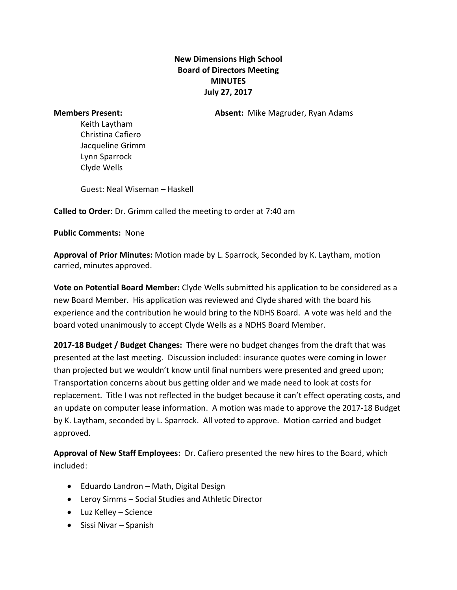## **New Dimensions High School Board of Directors Meeting MINUTES July 27, 2017**

**Members Present: Absent:** Mike Magruder, Ryan Adams

Keith Laytham Christina Cafiero Jacqueline Grimm Lynn Sparrock Clyde Wells

Guest: Neal Wiseman – Haskell

**Called to Order:** Dr. Grimm called the meeting to order at 7:40 am

**Public Comments:** None

**Approval of Prior Minutes:** Motion made by L. Sparrock, Seconded by K. Laytham, motion carried, minutes approved.

**Vote on Potential Board Member:** Clyde Wells submitted his application to be considered as a new Board Member. His application was reviewed and Clyde shared with the board his experience and the contribution he would bring to the NDHS Board. A vote was held and the board voted unanimously to accept Clyde Wells as a NDHS Board Member.

**2017-18 Budget / Budget Changes:** There were no budget changes from the draft that was presented at the last meeting. Discussion included: insurance quotes were coming in lower than projected but we wouldn't know until final numbers were presented and greed upon; Transportation concerns about bus getting older and we made need to look at costs for replacement. Title I was not reflected in the budget because it can't effect operating costs, and an update on computer lease information. A motion was made to approve the 2017-18 Budget by K. Laytham, seconded by L. Sparrock. All voted to approve. Motion carried and budget approved.

**Approval of New Staff Employees:** Dr. Cafiero presented the new hires to the Board, which included:

- Eduardo Landron Math, Digital Design
- Leroy Simms Social Studies and Athletic Director
- Luz Kelley Science
- $\bullet$  Sissi Nivar Spanish